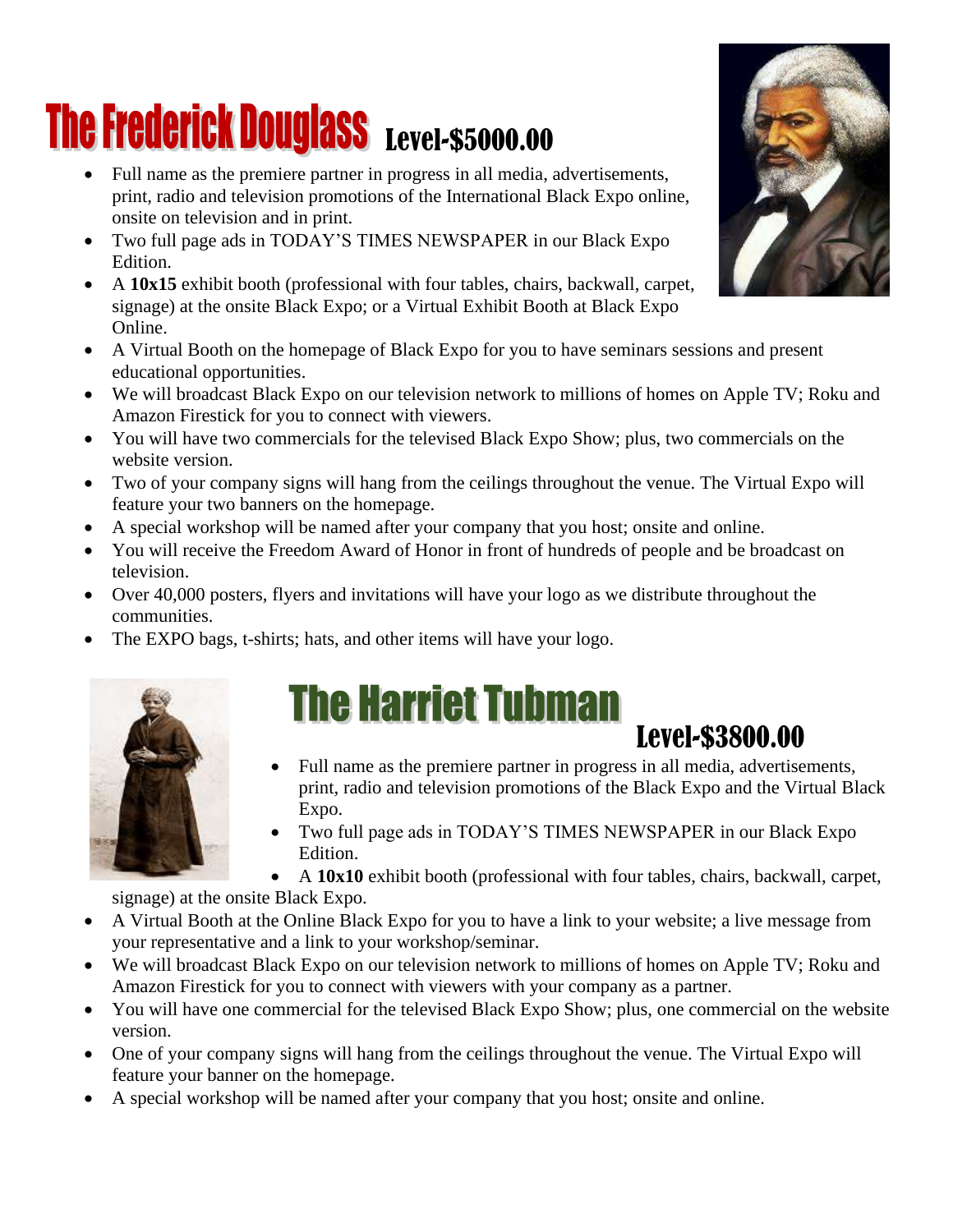### **The Frederick Douglass Level-\$5000.00**

- Full name as the premiere partner in progress in all media, advertisements, print, radio and television promotions of the International Black Expo online, onsite on television and in print.
- Two full page ads in TODAY'S TIMES NEWSPAPER in our Black Expo Edition.
- A **10x15** exhibit booth (professional with four tables, chairs, backwall, carpet, signage) at the onsite Black Expo; or a Virtual Exhibit Booth at Black Expo Online.
- A Virtual Booth on the homepage of Black Expo for you to have seminars sessions and present educational opportunities.
- We will broadcast Black Expo on our television network to millions of homes on Apple TV; Roku and Amazon Firestick for you to connect with viewers.
- You will have two commercials for the televised Black Expo Show; plus, two commercials on the website version.
- Two of your company signs will hang from the ceilings throughout the venue. The Virtual Expo will feature your two banners on the homepage.
- A special workshop will be named after your company that you host; onsite and online.
- You will receive the Freedom Award of Honor in front of hundreds of people and be broadcast on television.
- Over 40,000 posters, flyers and invitations will have your logo as we distribute throughout the communities.
- The EXPO bags, t-shirts; hats, and other items will have your logo.



### **The Harriet Tubman Level-\$3800.00**

- Full name as the premiere partner in progress in all media, advertisements, print, radio and television promotions of the Black Expo and the Virtual Black Expo.
- Two full page ads in TODAY'S TIMES NEWSPAPER in our Black Expo Edition.
- A **10x10** exhibit booth (professional with four tables, chairs, backwall, carpet,

signage) at the onsite Black Expo.

- A Virtual Booth at the Online Black Expo for you to have a link to your website; a live message from your representative and a link to your workshop/seminar.
- We will broadcast Black Expo on our television network to millions of homes on Apple TV; Roku and Amazon Firestick for you to connect with viewers with your company as a partner.
- You will have one commercial for the televised Black Expo Show; plus, one commercial on the website version.
- One of your company signs will hang from the ceilings throughout the venue. The Virtual Expo will feature your banner on the homepage.
- A special workshop will be named after your company that you host; onsite and online.

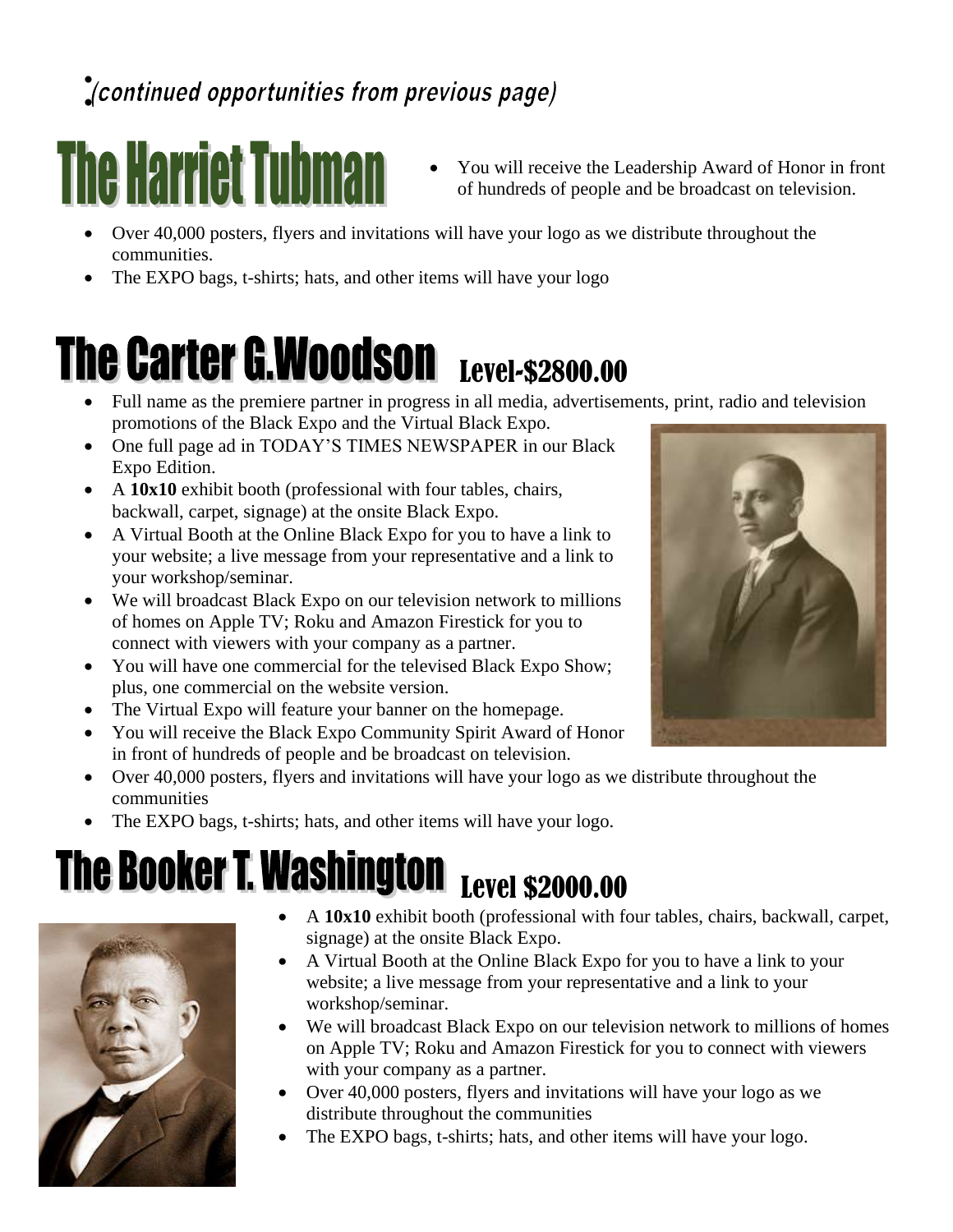#### • •

# **The Harriet Tubman**

- You will receive the Leadership Award of Honor in front of hundreds of people and be broadcast on television.
- Over 40,000 posters, flyers and invitations will have your logo as we distribute throughout the communities.
- The EXPO bags, t-shirts; hats, and other items will have your logo

### The Carter G.Woodson Level-\$2800.00

- Full name as the premiere partner in progress in all media, advertisements, print, radio and television promotions of the Black Expo and the Virtual Black Expo.
- One full page ad in TODAY'S TIMES NEWSPAPER in our Black Expo Edition.
- A **10x10** exhibit booth (professional with four tables, chairs, backwall, carpet, signage) at the onsite Black Expo.
- A Virtual Booth at the Online Black Expo for you to have a link to your website; a live message from your representative and a link to your workshop/seminar.
- We will broadcast Black Expo on our television network to millions of homes on Apple TV; Roku and Amazon Firestick for you to connect with viewers with your company as a partner.
- You will have one commercial for the televised Black Expo Show; plus, one commercial on the website version.
- The Virtual Expo will feature your banner on the homepage.
- You will receive the Black Expo Community Spirit Award of Honor in front of hundreds of people and be broadcast on television.
- Over 40,000 posters, flyers and invitations will have your logo as we distribute throughout the communities
- The EXPO bags, t-shirts; hats, and other items will have your logo.

#### The Booker T. Washington Level \$2000.00



- A **10x10** exhibit booth (professional with four tables, chairs, backwall, carpet, signage) at the onsite Black Expo.
- A Virtual Booth at the Online Black Expo for you to have a link to your website; a live message from your representative and a link to your workshop/seminar.
- We will broadcast Black Expo on our television network to millions of homes on Apple TV; Roku and Amazon Firestick for you to connect with viewers with your company as a partner.
- Over 40,000 posters, flyers and invitations will have your logo as we distribute throughout the communities
- The EXPO bags, t-shirts; hats, and other items will have your logo.